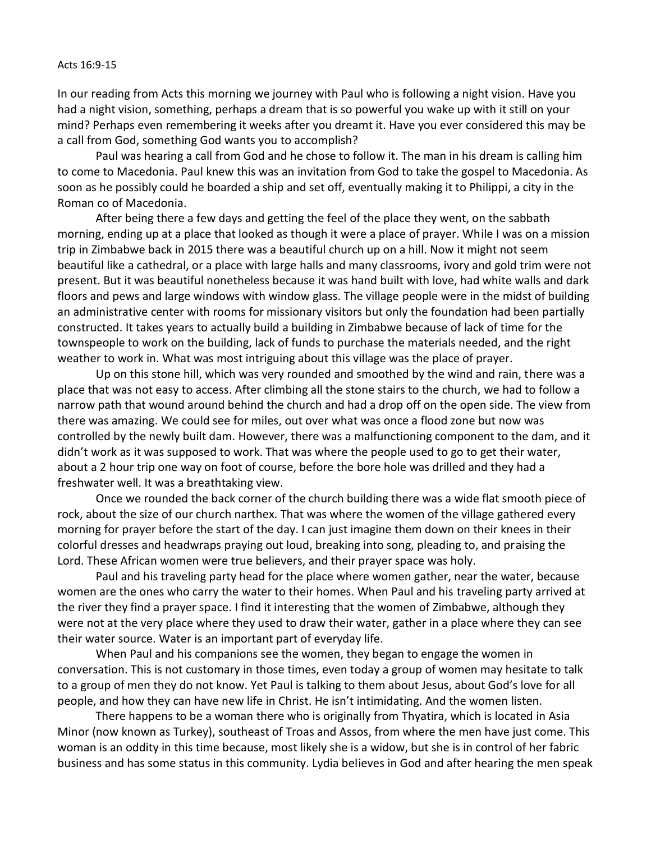## Acts 16:9-15

In our reading from Acts this morning we journey with Paul who is following a night vision. Have you had a night vision, something, perhaps a dream that is so powerful you wake up with it still on your mind? Perhaps even remembering it weeks after you dreamt it. Have you ever considered this may be a call from God, something God wants you to accomplish?

Paul was hearing a call from God and he chose to follow it. The man in his dream is calling him to come to Macedonia. Paul knew this was an invitation from God to take the gospel to Macedonia. As soon as he possibly could he boarded a ship and set off, eventually making it to Philippi, a city in the Roman co of Macedonia.

After being there a few days and getting the feel of the place they went, on the sabbath morning, ending up at a place that looked as though it were a place of prayer. While I was on a mission trip in Zimbabwe back in 2015 there was a beautiful church up on a hill. Now it might not seem beautiful like a cathedral, or a place with large halls and many classrooms, ivory and gold trim were not present. But it was beautiful nonetheless because it was hand built with love, had white walls and dark floors and pews and large windows with window glass. The village people were in the midst of building an administrative center with rooms for missionary visitors but only the foundation had been partially constructed. It takes years to actually build a building in Zimbabwe because of lack of time for the townspeople to work on the building, lack of funds to purchase the materials needed, and the right weather to work in. What was most intriguing about this village was the place of prayer.

Up on this stone hill, which was very rounded and smoothed by the wind and rain, there was a place that was not easy to access. After climbing all the stone stairs to the church, we had to follow a narrow path that wound around behind the church and had a drop off on the open side. The view from there was amazing. We could see for miles, out over what was once a flood zone but now was controlled by the newly built dam. However, there was a malfunctioning component to the dam, and it didn't work as it was supposed to work. That was where the people used to go to get their water, about a 2 hour trip one way on foot of course, before the bore hole was drilled and they had a freshwater well. It was a breathtaking view.

Once we rounded the back corner of the church building there was a wide flat smooth piece of rock, about the size of our church narthex. That was where the women of the village gathered every morning for prayer before the start of the day. I can just imagine them down on their knees in their colorful dresses and headwraps praying out loud, breaking into song, pleading to, and praising the Lord. These African women were true believers, and their prayer space was holy.

Paul and his traveling party head for the place where women gather, near the water, because women are the ones who carry the water to their homes. When Paul and his traveling party arrived at the river they find a prayer space. I find it interesting that the women of Zimbabwe, although they were not at the very place where they used to draw their water, gather in a place where they can see their water source. Water is an important part of everyday life.

When Paul and his companions see the women, they began to engage the women in conversation. This is not customary in those times, even today a group of women may hesitate to talk to a group of men they do not know. Yet Paul is talking to them about Jesus, about God's love for all people, and how they can have new life in Christ. He isn't intimidating. And the women listen.

There happens to be a woman there who is originally from Thyatira, which is located in Asia Minor (now known as Turkey), southeast of Troas and Assos, from where the men have just come. This woman is an oddity in this time because, most likely she is a widow, but she is in control of her fabric business and has some status in this community. Lydia believes in God and after hearing the men speak